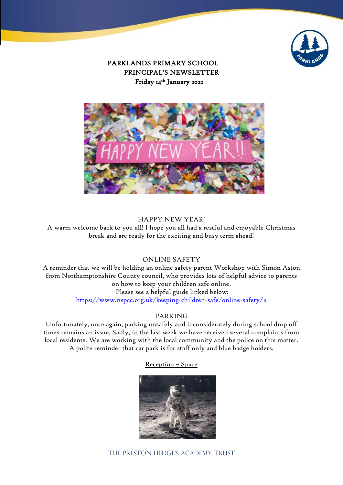

PARKLANDS PRIMARY SCHOOL PRINCIPAL'S NEWSLETTER Friday 14th January 2022



HAPPY NEW YEAR! A warm welcome back to you all! I hope you all had a restful and enjoyable Christmas break and are ready for the exciting and busy term ahead!

### ONLINE SAFETY

A reminder that we will be holding an online safety parent Workshop with Simon Aston from Northamptonshire County council, who provides lots of helpful advice to parents on how to keep your children safe online. Please see a helpful guide linked below: [https://www.nspcc.org.uk/keeping-children-safe/online-safety/#](https://www.nspcc.org.uk/keeping-children-safe/online-safety/)

### PARKING

Unfortunately, once again, parking unsafely and inconsiderately during school drop off times remains an issue. Sadly, in the last week we have received several complaints from local residents. We are working with the local community and the police on this matter. A polite reminder that car park is for staff only and blue badge holders.

### Reception – Space

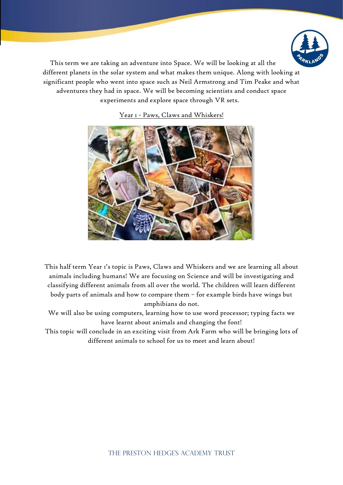

This term we are taking an adventure into Space. We will be looking at all the different planets in the solar system and what makes them unique. Along with looking at significant people who went into space such as Neil Armstrong and Tim Peake and what adventures they had in space. We will be becoming scientists and conduct space experiments and explore space through VR sets.



Year I - Paws, Claws and Whiskers!

This half term Year 1's topic is Paws, Claws and Whiskers and we are learning all about animals including humans! We are focusing on Science and will be investigating and classifying different animals from all over the world. The children will learn different body parts of animals and how to compare them – for example birds have wings but amphibians do not.

We will also be using computers, learning how to use word processor; typing facts we have learnt about animals and changing the font!

This topic will conclude in an exciting visit from Ark Farm who will be bringing lots of different animals to school for us to meet and learn about!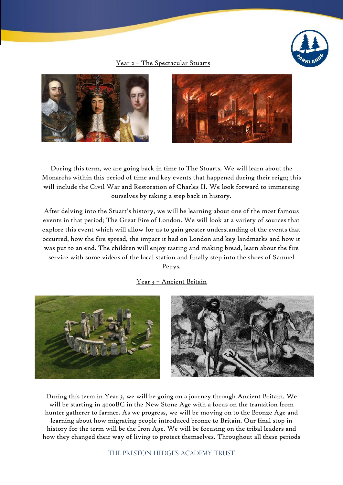

### Year 2 – The Spectacular Stuarts





During this term, we are going back in time to The Stuarts. We will learn about the Monarchs within this period of time and key events that happened during their reign; this will include the Civil War and Restoration of Charles II. We look forward to immersing ourselves by taking a step back in history.

After delving into the Stuart's history, we will be learning about one of the most famous events in that period; The Great Fire of London. We will look at a variety of sources that explore this event which will allow for us to gain greater understanding of the events that occurred, how the fire spread, the impact it had on London and key landmarks and how it was put to an end. The children will enjoy tasting and making bread, learn about the fire service with some videos of the local station and finally step into the shoes of Samuel Pepys.

## Year 3 – Ancient Britain



During this term in Year 3, we will be going on a journey through Ancient Britain. We will be starting in 4000BC in the New Stone Age with a focus on the transition from hunter gatherer to farmer. As we progress, we will be moving on to the Bronze Age and learning about how migrating people introduced bronze to Britain. Our final stop in history for the term will be the Iron Age. We will be focusing on the tribal leaders and how they changed their way of living to protect themselves. Throughout all these periods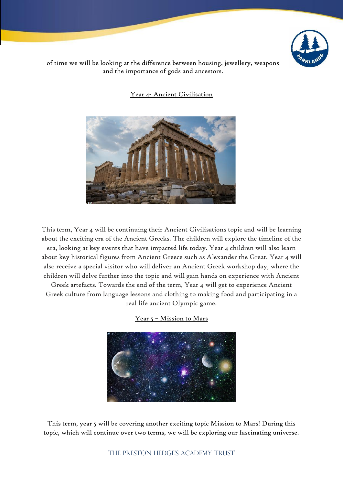

of time we will be looking at the difference between housing, jewellery, weapons and the importance of gods and ancestors.

Year 4- Ancient Civilisation



This term, Year 4 will be continuing their Ancient Civilisations topic and will be learning about the exciting era of the Ancient Greeks. The children will explore the timeline of the

era, looking at key events that have impacted life today. Year 4 children will also learn about key historical figures from Ancient Greece such as Alexander the Great. Year 4 will also receive a special visitor who will deliver an Ancient Greek workshop day, where the children will delve further into the topic and will gain hands on experience with Ancient

Greek artefacts. Towards the end of the term, Year 4 will get to experience Ancient Greek culture from language lessons and clothing to making food and participating in a real life ancient Olympic game.

Year 5 – Mission to Mars



This term, year 5 will be covering another exciting topic Mission to Mars! During this topic, which will continue over two terms, we will be exploring our fascinating universe.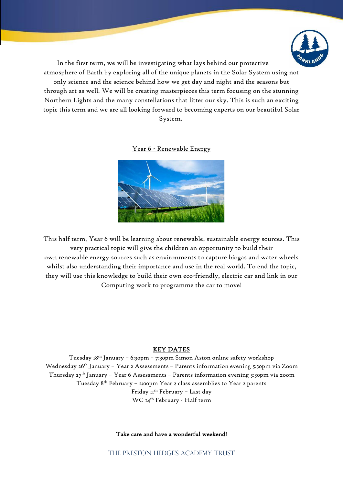

In the first term, we will be investigating what lays behind our protective

atmosphere of Earth by exploring all of the unique planets in the Solar System using not only science and the science behind how we get day and night and the seasons but through art as well. We will be creating masterpieces this term focusing on the stunning Northern Lights and the many constellations that litter our sky. This is such an exciting topic this term and we are all looking forward to becoming experts on our beautiful Solar

System.

Year 6 - Renewable Energy



This half term, Year 6 will be learning about renewable, sustainable energy sources. This very practical topic will give the children an opportunity to build their own renewable energy sources such as environments to capture biogas and water wheels whilst also understanding their importance and use in the real world. To end the topic, they will use this knowledge to build their own eco-friendly, electric car and link in our Computing work to programme the car to move!

## KEY DATES

Tuesday 18th January – 6:30pm – 7:30pm Simon Aston online safety workshop Wednesday 26<sup>th</sup> January - Year 2 Assessments - Parents information evening 5:30pm via Zoom Thursday  $27<sup>th</sup>$  January – Year 6 Assessments – Parents information evening 5:30pm via zoom Tuesday 8th February – 2:00pm Year 2 class assemblies to Year 2 parents Friday 11<sup>th</sup> February - Last day WC 14th February - Half term

### Take care and have a wonderful weekend!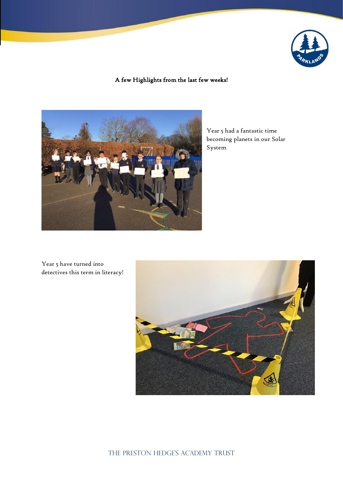

# A few Highlights from the last few weeks!



Year 5 had a fantastic time becoming planets in our Solar System

Year 5 have turned into detectives this term in literacy!